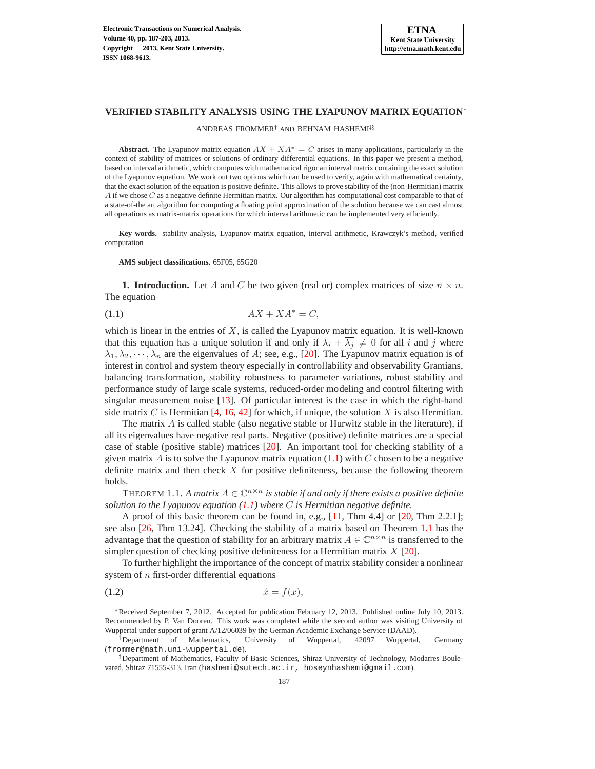# **VERIFIED STABILITY ANALYSIS USING THE LYAPUNOV MATRIX EQUATION**<sup>∗</sup>

ANDREAS FROMMER† AND BEHNAM HASHEMI‡§

**Abstract.** The Lyapunov matrix equation  $AX + XA^* = C$  arises in many applications, particularly in the context of stability of matrices or solutions of ordinary differential equations. In this paper we present a method, based on interval arithmetic, which computes with mathematical rigor an interval matrix containing the exact solution of the Lyapunov equation. We work out two options which can be used to verify, again with mathematical certainty, that the exact solution of the equation is positive definite. This allows to prove stability of the (non-Hermitian) matrix A if we chose C as a negative definite Hermitian matrix. Our algorithm has computational cost comparable to that of a state-of-the art algorithm for computing a floating point approximation of the solution because we can cast almost all operations as matrix-matrix operations for which interval arithmetic can be implemented very efficiently.

**Key words.** stability analysis, Lyapunov matrix equation, interval arithmetic, Krawczyk's method, verified computation

**AMS subject classifications.** 65F05, 65G20

**1. Introduction.** Let A and C be two given (real or) complex matrices of size  $n \times n$ . The equation

<span id="page-0-0"></span>(1.1)  $AX + XA^* = C$ ,

which is linear in the entries of  $X$ , is called the Lyapunov matrix equation. It is well-known that this equation has a unique solution if and only if  $\lambda_i + \lambda_j \neq 0$  for all i and j where  $\lambda_1, \lambda_2, \dots, \lambda_n$  are the eigenvalues of A; see, e.g., [\[20\]](#page-15-0). The Lyapunov matrix equation is of interest in control and system theory especially in controllability and observability Gramians, balancing transformation, stability robustness to parameter variations, robust stability and performance study of large scale systems, reduced-order modeling and control filtering with singular measurement noise [\[13\]](#page-15-1). Of particular interest is the case in which the right-hand side matrix C is Hermitian [\[4,](#page-15-2) [16,](#page-15-3) [42\]](#page-16-0) for which, if unique, the solution X is also Hermitian.

The matrix  $\vec{A}$  is called stable (also negative stable or Hurwitz stable in the literature), if all its eigenvalues have negative real parts. Negative (positive) definite matrices are a special case of stable (positive stable) matrices [\[20\]](#page-15-0). An important tool for checking stability of a given matrix A is to solve the Lyapunov matrix equation  $(1.1)$  with C chosen to be a negative definite matrix and then check  $X$  for positive definiteness, because the following theorem holds.

<span id="page-0-1"></span>THEOREM 1.1. A matrix  $A \in \mathbb{C}^{n \times n}$  is stable if and only if there exists a positive definite *solution to the Lyapunov equation [\(1.1\)](#page-0-0) where* C *is Hermitian negative definite.*

A proof of this basic theorem can be found in, e.g., [\[11,](#page-15-4) Thm 4.4] or [\[20,](#page-15-0) Thm 2.2.1]; see also [\[26,](#page-15-5) Thm 13.24]. Checking the stability of a matrix based on Theorem [1.1](#page-0-1) has the advantage that the question of stability for an arbitrary matrix  $A \in \mathbb{C}^{n \times n}$  is transferred to the simpler question of checking positive definiteness for a Hermitian matrix  $X$  [\[20\]](#page-15-0).

To further highlight the importance of the concept of matrix stability consider a nonlinear system of  $n$  first-order differential equations

<span id="page-0-2"></span>
$$
(1.2) \t\t\t \dot{x} = f(x),
$$

<sup>∗</sup>Received September 7, 2012. Accepted for publication February 12, 2013. Published online July 10, 2013. Recommended by P. Van Dooren. This work was completed while the second author was visiting University of Wuppertal under support of grant A/12/06039 by the German Academic Exchange Service (DAAD).

<sup>†</sup>Department of Mathematics, University of Wuppertal, 42097 Wuppertal, Germany (frommer@math.uni-wuppertal.de).

<sup>‡</sup>Department of Mathematics, Faculty of Basic Sciences, Shiraz University of Technology, Modarres Boulevared, Shiraz 71555-313, Iran (hashemi@sutech.ac.ir, hoseynhashemi@gmail.com).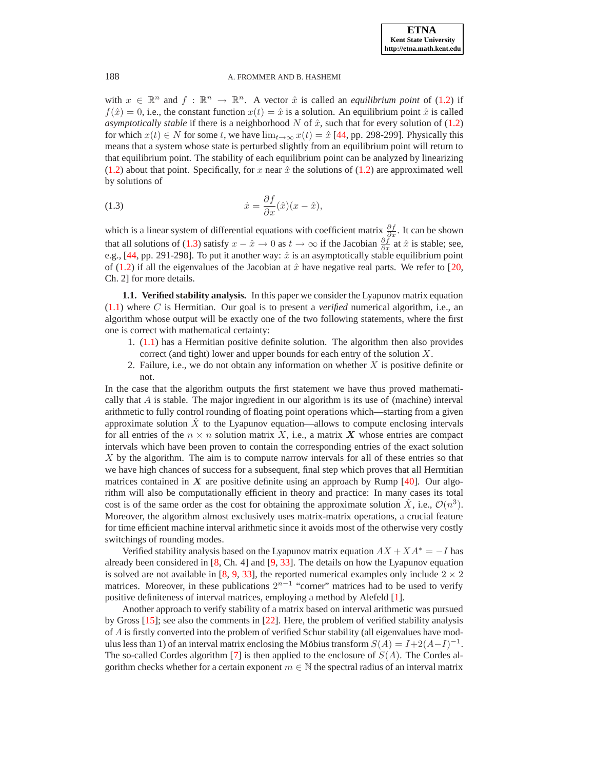with  $x \in \mathbb{R}^n$  and  $f : \mathbb{R}^n \to \mathbb{R}^n$ . A vector  $\hat{x}$  is called an *equilibrium point* of [\(1.2\)](#page-0-2) if  $f(\hat{x}) = 0$ , i.e., the constant function  $x(t) = \hat{x}$  is a solution. An equilibrium point  $\hat{x}$  is called *asymptotically stable* if there is a neighborhood  $N$  of  $\hat{x}$ , such that for every solution of [\(1.2\)](#page-0-2) for which  $x(t) \in N$  for some t, we have  $\lim_{t\to\infty} x(t) = \hat{x}$  [\[44,](#page-16-1) pp. 298-299]. Physically this means that a system whose state is perturbed slightly from an equilibrium point will return to that equilibrium point. The stability of each equilibrium point can be analyzed by linearizing [\(1.2\)](#page-0-2) about that point. Specifically, for x near  $\hat{x}$  the solutions of [\(1.2\)](#page-0-2) are approximated well by solutions of

<span id="page-1-0"></span>(1.3) 
$$
\dot{x} = \frac{\partial f}{\partial x}(\hat{x})(x - \hat{x}),
$$

which is a linear system of differential equations with coefficient matrix  $\frac{\partial f}{\partial x}$ . It can be shown that all solutions of [\(1.3\)](#page-1-0) satisfy  $x - \hat{x} \to 0$  as  $t \to \infty$  if the Jacobian  $\frac{\partial f}{\partial x}$  at  $\hat{x}$  is stable; see, e.g., [\[44,](#page-16-1) pp. 291-298]. To put it another way:  $\hat{x}$  is an asymptotically stable equilibrium point of [\(1.2\)](#page-0-2) if all the eigenvalues of the Jacobian at  $\hat{x}$  have negative real parts. We refer to [\[20,](#page-15-0) Ch. 2] for more details.

**1.1. Verified stability analysis.** In this paper we consider the Lyapunov matrix equation [\(1.1\)](#page-0-0) where C is Hermitian. Our goal is to present a *verified* numerical algorithm, i.e., an algorithm whose output will be exactly one of the two following statements, where the first one is correct with mathematical certainty:

- 1. [\(1.1\)](#page-0-0) has a Hermitian positive definite solution. The algorithm then also provides correct (and tight) lower and upper bounds for each entry of the solution  $X$ .
- 2. Failure, i.e., we do not obtain any information on whether  $X$  is positive definite or not.

In the case that the algorithm outputs the first statement we have thus proved mathematically that  $A$  is stable. The major ingredient in our algorithm is its use of (machine) interval arithmetic to fully control rounding of floating point operations which—starting from a given approximate solution  $\hat{X}$  to the Lyapunov equation—allows to compute enclosing intervals for all entries of the  $n \times n$  solution matrix X, i.e., a matrix X whose entries are compact intervals which have been proven to contain the corresponding entries of the exact solution X by the algorithm. The aim is to compute narrow intervals for all of these entries so that we have high chances of success for a subsequent, final step which proves that all Hermitian matrices contained in  $X$  are positive definite using an approach by Rump [\[40\]](#page-16-2). Our algorithm will also be computationally efficient in theory and practice: In many cases its total cost is of the same order as the cost for obtaining the approximate solution  $\check{X}$ , i.e.,  $\mathcal{O}(n^3)$ . Moreover, the algorithm almost exclusively uses matrix-matrix operations, a crucial feature for time efficient machine interval arithmetic since it avoids most of the otherwise very costly switchings of rounding modes.

Verified stability analysis based on the Lyapunov matrix equation  $AX + XA^* = -I$  has already been considered in  $[8, Ch. 4]$  and  $[9, 33]$  $[9, 33]$  $[9, 33]$ . The details on how the Lyapunov equation is solved are not available in [\[8,](#page-15-6) [9,](#page-15-7) [33\]](#page-16-3), the reported numerical examples only include  $2 \times 2$ matrices. Moreover, in these publications  $2^{n-1}$  "corner" matrices had to be used to verify positive definiteness of interval matrices, employing a method by Alefeld [\[1\]](#page-14-0).

Another approach to verify stability of a matrix based on interval arithmetic was pursued by Gross [\[15\]](#page-15-8); see also the comments in [\[22\]](#page-15-9). Here, the problem of verified stability analysis of  $\vec{A}$  is firstly converted into the problem of verified Schur stability (all eigenvalues have modulus less than 1) of an interval matrix enclosing the Möbius transform  $S(A) = I + 2(A - I)^{-1}$ . The so-called Cordes algorithm [\[7\]](#page-15-10) is then applied to the enclosure of  $S(A)$ . The Cordes algorithm checks whether for a certain exponent  $m \in \mathbb{N}$  the spectral radius of an interval matrix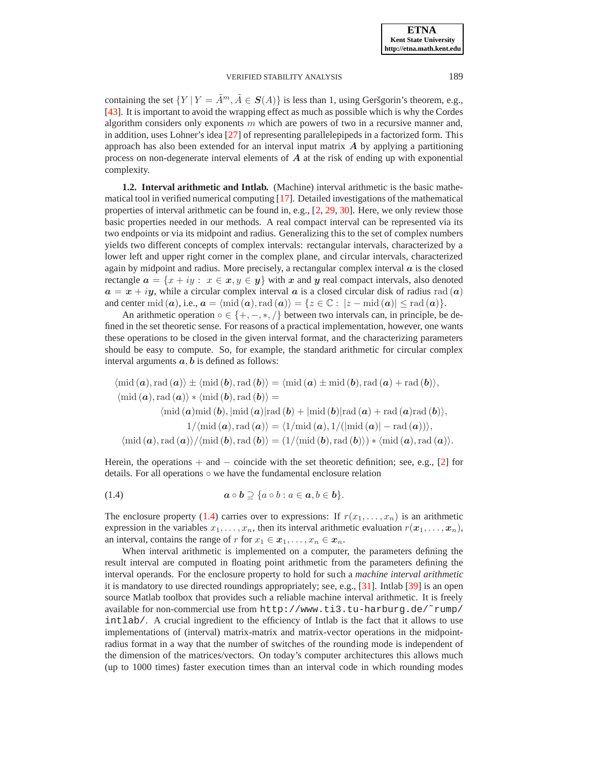containing the set  $\{Y | Y = \tilde{A}^m, \tilde{A} \in S(A)\}\$ is less than 1, using Geršgorin's theorem, e.g., [\[43\]](#page-16-4). It is important to avoid the wrapping effect as much as possible which is why the Cordes algorithm considers only exponents  $m$  which are powers of two in a recursive manner and, in addition, uses Lohner's idea [\[27\]](#page-15-11) of representing parallelepipeds in a factorized form. This approach has also been extended for an interval input matrix  $\boldsymbol{A}$  by applying a partitioning process on non-degenerate interval elements of  $A$  at the risk of ending up with exponential complexity.

**1.2. Interval arithmetic and Intlab.** (Machine) interval arithmetic is the basic mathematical tool in verified numerical computing [\[17\]](#page-15-12). Detailed investigations of the mathematical properties of interval arithmetic can be found in, e.g., [\[2,](#page-14-1) [29,](#page-15-13) [30\]](#page-15-14). Here, we only review those basic properties needed in our methods. A real compact interval can be represented via its two endpoints or via its midpoint and radius. Generalizing this to the set of complex numbers yields two different concepts of complex intervals: rectangular intervals, characterized by a lower left and upper right corner in the complex plane, and circular intervals, characterized again by midpoint and radius. More precisely, a rectangular complex interval  $\alpha$  is the closed rectangle  $\mathbf{a} = \{x + iy : x \in \mathbf{x}, y \in \mathbf{y}\}\$  with x and y real compact intervals, also denoted  $a = x + iy$ , while a circular complex interval a is a closed circular disk of radius rad (a) and center mid  $(a)$ , i.e.,  $a = \text{mid } (a)$ , rad  $(a)\rangle = \{z \in \mathbb{C} : |z - \text{mid } (a)| \leq \text{rad } (a)\}.$ 

An arithmetic operation  $\circ \in \{+, -, *, /\}$  between two intervals can, in principle, be defined in the set theoretic sense. For reasons of a practical implementation, however, one wants these operations to be closed in the given interval format, and the characterizing parameters should be easy to compute. So, for example, the standard arithmetic for circular complex interval arguments  $a, b$  is defined as follows:

$$
\langle \text{mid } (a), \text{rad } (a) \rangle \pm \langle \text{mid } (b), \text{rad } (b) \rangle = \langle \text{mid } (a) \pm \text{mid } (b), \text{rad } (a) + \text{rad } (b) \rangle,
$$
  

$$
\langle \text{mid } (a), \text{rad } (a) \rangle * \langle \text{mid } (b), \text{rad } (b) \rangle =
$$
  

$$
\langle \text{mid } (a) \text{mid } (b), \text{mid } (a) | \text{rad } (b) + \text{mid } (b) | \text{rad } (a) + \text{rad } (a) \text{rad } (b) \rangle,
$$
  

$$
1/\langle \text{mid } (a), \text{rad } (a) \rangle = \langle 1/\text{mid } (a), 1/(\lvert \text{mid } (a) \rvert - \text{rad } (a)) \rangle,
$$
  

$$
\langle \text{mid } (a), \text{rad } (a) \rangle / \langle \text{mid } (b), \text{rad } (b) \rangle = (1/\langle \text{mid } (b), \text{rad } (b) \rangle) * \langle \text{mid } (a), \text{rad } (a) \rangle.
$$

Herein, the operations  $+$  and  $-$  coincide with the set theoretic definition; see, e.g., [\[2\]](#page-14-1) for details. For all operations ◦ we have the fundamental enclosure relation

<span id="page-2-0"></span>
$$
(1.4) \t\t\t  $a \circ b \supseteq \{a \circ b : a \in a, b \in b\}.$
$$

The enclosure property [\(1.4\)](#page-2-0) carries over to expressions: If  $r(x_1, \ldots, x_n)$  is an arithmetic expression in the variables  $x_1, \ldots, x_n$ , then its interval arithmetic evaluation  $r(x_1, \ldots, x_n)$ , an interval, contains the range of r for  $x_1 \in x_1, \ldots, x_n \in x_n$ .

When interval arithmetic is implemented on a computer, the parameters defining the result interval are computed in floating point arithmetic from the parameters defining the interval operands. For the enclosure property to hold for such a *machine interval arithmetic* it is mandatory to use directed roundings appropriately; see, e.g., [\[31\]](#page-15-15). Intlab [\[39\]](#page-16-5) is an open source Matlab toolbox that provides such a reliable machine interval arithmetic. It is freely available for non-commercial use from http://www.ti3.tu-harburg.de/˜rump/ intlab/. A crucial ingredient to the efficiency of Intlab is the fact that it allows to use implementations of (interval) matrix-matrix and matrix-vector operations in the midpointradius format in a way that the number of switches of the rounding mode is independent of the dimension of the matrices/vectors. On today's computer architectures this allows much (up to 1000 times) faster execution times than an interval code in which rounding modes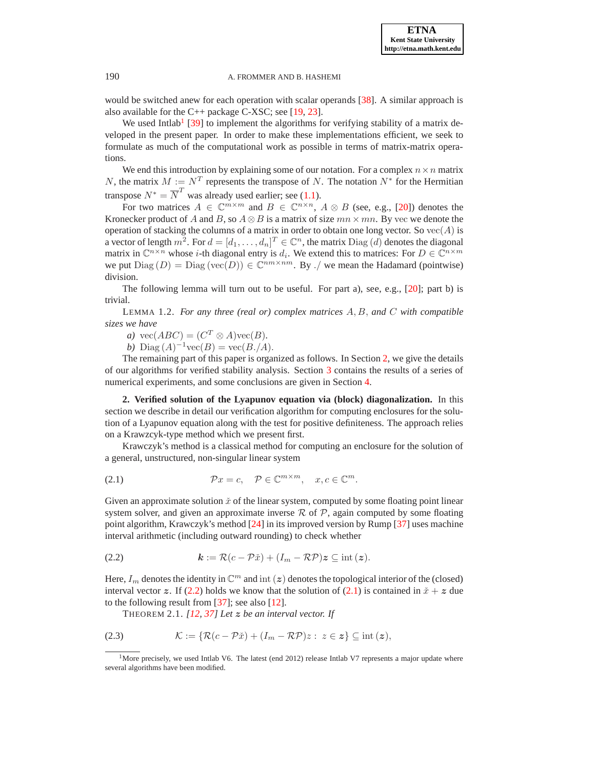would be switched anew for each operation with scalar operands [\[38\]](#page-16-6). A similar approach is also available for the C++ package C-XSC; see [\[19,](#page-15-16) [23\]](#page-15-17).

We used Intlab<sup>[1](#page-3-0)</sup> [\[39\]](#page-16-5) to implement the algorithms for verifying stability of a matrix developed in the present paper. In order to make these implementations efficient, we seek to formulate as much of the computational work as possible in terms of matrix-matrix operations.

We end this introduction by explaining some of our notation. For a complex  $n \times n$  matrix N, the matrix  $M := N^T$  represents the transpose of N. The notation  $N^*$  for the Hermitian transpose  $N^* = \overline{N}^T$  was already used earlier; see [\(1.1\)](#page-0-0).

For two matrices  $A \in \mathbb{C}^{m \times m}$  and  $B \in \mathbb{C}^{n \times n}$ ,  $A \otimes B$  (see, e.g., [\[20\]](#page-15-0)) denotes the Kronecker product of A and B, so  $A \otimes B$  is a matrix of size  $mn \times mn$ . By vec we denote the operation of stacking the columns of a matrix in order to obtain one long vector. So  $vec(A)$  is a vector of length  $m^2$ . For  $d = [d_1, \ldots, d_n]^T \in \mathbb{C}^n$ , the matrix  $\text{Diag}(d)$  denotes the diagonal matrix in  $\mathbb{C}^{n \times n}$  whose *i*-th diagonal entry is  $d_i$ . We extend this to matrices: For  $D \in \mathbb{C}^{n \times m}$ we put  $Diag(D) = Diag (vec(D)) \in \mathbb{C}^{nm \times nm}$ . By ./ we mean the Hadamard (pointwise) division.

<span id="page-3-5"></span>The following lemma will turn out to be useful. For part a), see, e.g., [\[20\]](#page-15-0); part b) is trivial.

LEMMA 1.2. *For any three (real or) complex matrices* A, B, *and* C *with compatible sizes we have*

*a*)  $\text{vec}(ABC) = (C^T \otimes A)\text{vec}(B)$ .

*b*) Diag  $(A)^{-1}\text{vec}(B) = \text{vec}(B.A).$ 

The remaining part of this paper is organized as follows. In Section [2,](#page-3-1) we give the details of our algorithms for verified stability analysis. Section [3](#page-8-0) contains the results of a series of numerical experiments, and some conclusions are given in Section [4.](#page-14-2)

<span id="page-3-1"></span>**2. Verified solution of the Lyapunov equation via (block) diagonalization.** In this section we describe in detail our verification algorithm for computing enclosures for the solution of a Lyapunov equation along with the test for positive definiteness. The approach relies on a Krawzcyk-type method which we present first.

Krawczyk's method is a classical method for computing an enclosure for the solution of a general, unstructured, non-singular linear system

<span id="page-3-3"></span>(2.1) 
$$
\mathcal{P}x = c, \quad \mathcal{P} \in \mathbb{C}^{m \times m}, \quad x, c \in \mathbb{C}^m.
$$

Given an approximate solution  $\check{x}$  of the linear system, computed by some floating point linear system solver, and given an approximate inverse  $R$  of  $P$ , again computed by some floating point algorithm, Krawczyk's method [\[24\]](#page-15-18) in its improved version by Rump [\[37\]](#page-16-7) uses machine interval arithmetic (including outward rounding) to check whether

<span id="page-3-2"></span>
$$
(2.2) \t\t k := \mathcal{R}(c - \mathcal{P}\check{x}) + (I_m - \mathcal{RP})z \subseteq \mathrm{int}(z).
$$

Here,  $I_m$  denotes the identity in  $\mathbb{C}^m$  and int  $(z)$  denotes the topological interior of the (closed) interval vector z. If [\(2.2\)](#page-3-2) holds we know that the solution of [\(2.1\)](#page-3-3) is contained in  $\tilde{x} + z$  due to the following result from [\[37\]](#page-16-7); see also [\[12\]](#page-15-19).

<span id="page-3-4"></span>THEOREM 2.1. *[\[12,](#page-15-19) [37\]](#page-16-7) Let* z *be an interval vector. If*

(2.3) 
$$
\mathcal{K} := \{ \mathcal{R}(c - \mathcal{P}\check{x}) + (I_m - \mathcal{RP})z : z \in \mathbf{z} \} \subseteq \text{int}(\mathbf{z}),
$$

<span id="page-3-0"></span><sup>&</sup>lt;sup>1</sup>More precisely, we used Intlab V6. The latest (end 2012) release Intlab V7 represents a major update where several algorithms have been modified.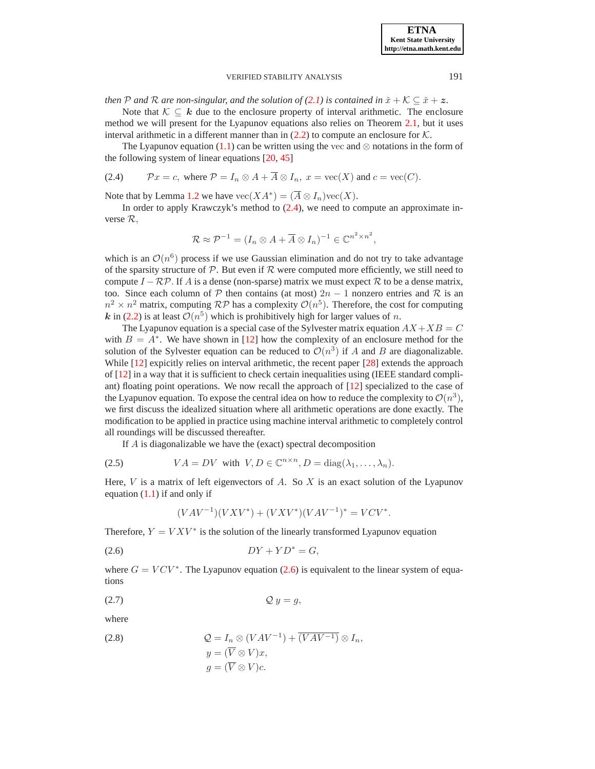*then* P and R are non-singular, and the solution of [\(2.1\)](#page-3-3) is contained in  $\check{x} + \mathcal{K} \subseteq \check{x} + z$ .

Note that  $K \subseteq k$  due to the enclosure property of interval arithmetic. The enclosure method we will present for the Lyapunov equations also relies on Theorem [2.1,](#page-3-4) but it uses interval arithmetic in a different manner than in  $(2.2)$  to compute an enclosure for  $K$ .

The Lyapunov equation [\(1.1\)](#page-0-0) can be written using the vec and  $\otimes$  notations in the form of the following system of linear equations [\[20,](#page-15-0) [45\]](#page-16-8)

<span id="page-4-0"></span>(2.4) 
$$
\mathcal{P}x = c, \text{ where } \mathcal{P} = I_n \otimes A + \overline{A} \otimes I_n, x = \text{vec}(X) \text{ and } c = \text{vec}(C).
$$

Note that by Lemma [1.2](#page-3-5) we have  $\text{vec}(XA^*) = (\overline{A} \otimes I_n)\text{vec}(X)$ .

In order to apply Krawczyk's method to  $(2.4)$ , we need to compute an approximate inverse R,

$$
\mathcal{R} \approx \mathcal{P}^{-1} = (I_n \otimes A + \overline{A} \otimes I_n)^{-1} \in \mathbb{C}^{n^2 \times n^2},
$$

which is an  $\mathcal{O}(n^6)$  process if we use Gaussian elimination and do not try to take advantage of the sparsity structure of  $P$ . But even if  $R$  were computed more efficiently, we still need to compute  $I - \mathcal{RP}$ . If A is a dense (non-sparse) matrix we must expect R to be a dense matrix, too. Since each column of P then contains (at most)  $2n - 1$  nonzero entries and R is an  $n^2 \times n^2$  matrix, computing RP has a complexity  $\mathcal{O}(n^5)$ . Therefore, the cost for computing k in [\(2.2\)](#page-3-2) is at least  $\mathcal{O}(n^5)$  which is prohibitively high for larger values of n.

The Lyapunov equation is a special case of the Sylvester matrix equation  $AX+XB = C$ with  $B = A^*$ . We have shown in [\[12\]](#page-15-19) how the complexity of an enclosure method for the solution of the Sylvester equation can be reduced to  $\mathcal{O}(n^3)$  if A and B are diagonalizable. While [\[12\]](#page-15-19) expicitly relies on interval arithmetic, the recent paper [\[28\]](#page-15-20) extends the approach of [\[12\]](#page-15-19) in a way that it is sufficient to check certain inequalities using (IEEE standard compliant) floating point operations. We now recall the approach of [\[12\]](#page-15-19) specialized to the case of the Lyapunov equation. To expose the central idea on how to reduce the complexity to  $\mathcal{O}(n^3)$ , we first discuss the idealized situation where all arithmetic operations are done exactly. The modification to be applied in practice using machine interval arithmetic to completely control all roundings will be discussed thereafter.

If A is diagonalizable we have the (exact) spectral decomposition

<span id="page-4-2"></span>(2.5) 
$$
VA = DV \text{ with } V, D \in \mathbb{C}^{n \times n}, D = \text{diag}(\lambda_1, ..., \lambda_n).
$$

Here,  $V$  is a matrix of left eigenvectors of  $A$ . So  $X$  is an exact solution of the Lyapunov equation  $(1.1)$  if and only if

<span id="page-4-4"></span><span id="page-4-1"></span>
$$
(VAV^{-1})(VXV^*) + (VXV^*)(VAV^{-1})^* = VCV^*.
$$

Therefore,  $Y = V X V^*$  is the solution of the linearly transformed Lyapunov equation

$$
(2.6) \t\t DY + YD^* = G,
$$

where  $G = VCV^*$ . The Lyapunov equation [\(2.6\)](#page-4-1) is equivalent to the linear system of equations

$$
(2.7) \tQy = g,
$$

where

<span id="page-4-3"></span>(2.8) 
$$
Q = I_n \otimes (VAV^{-1}) + \overline{(VAV^{-1})} \otimes I_n,
$$

$$
y = (\overline{V} \otimes V)x,
$$

$$
g = (\overline{V} \otimes V)c.
$$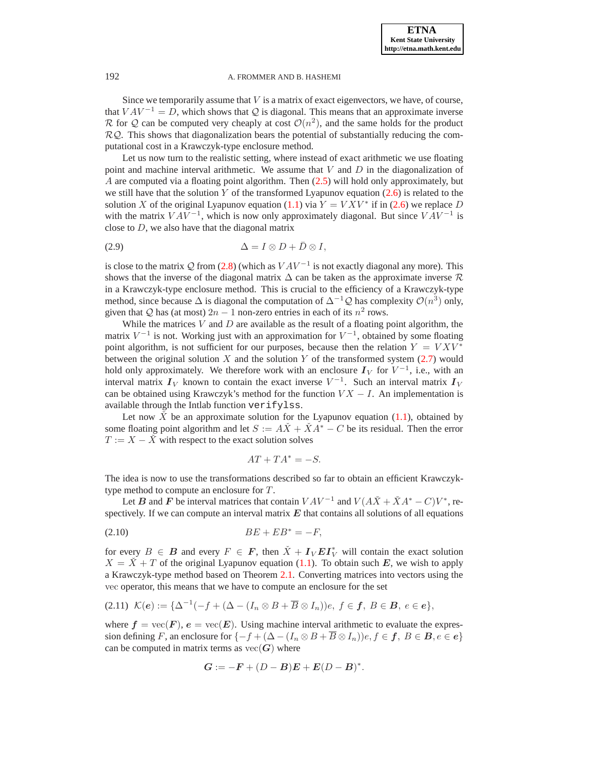Since we temporarily assume that  $V$  is a matrix of exact eigenvectors, we have, of course, that  $VAV^{-1} = D$ , which shows that Q is diagonal. This means that an approximate inverse R for Q can be computed very cheaply at cost  $\mathcal{O}(n^2)$ , and the same holds for the product  $RQ$ . This shows that diagonalization bears the potential of substantially reducing the computational cost in a Krawczyk-type enclosure method.

Let us now turn to the realistic setting, where instead of exact arithmetic we use floating point and machine interval arithmetic. We assume that  $V$  and  $D$  in the diagonalization of A are computed via a floating point algorithm. Then [\(2.5\)](#page-4-2) will hold only approximately, but we still have that the solution Y of the transformed Lyapunov equation  $(2.6)$  is related to the solution X of the original Lyapunov equation [\(1.1\)](#page-0-0) via  $Y = V X V^*$  if in [\(2.6\)](#page-4-1) we replace D with the matrix  $VAV^{-1}$ , which is now only approximately diagonal. But since  $VAV^{-1}$  is close to  $D$ , we also have that the diagonal matrix

<span id="page-5-1"></span>
$$
\Delta = I \otimes D + \bar{D} \otimes I,
$$

is close to the matrix Q from [\(2.8\)](#page-4-3) (which as  $VAV^{-1}$  is not exactly diagonal any more). This shows that the inverse of the diagonal matrix  $\Delta$  can be taken as the approximate inverse  $\mathcal R$ in a Krawczyk-type enclosure method. This is crucial to the efficiency of a Krawczyk-type method, since because  $\Delta$  is diagonal the computation of  $\Delta^{-1}Q$  has complexity  $\mathcal{O}(n^3)$  only, given that Q has (at most)  $2n - 1$  non-zero entries in each of its  $n^2$  rows.

While the matrices  $V$  and  $D$  are available as the result of a floating point algorithm, the matrix  $V^{-1}$  is not. Working just with an approximation for  $V^{-1}$ , obtained by some floating point algorithm, is not sufficient for our purposes, because then the relation  $Y = V X V^*$ between the original solution X and the solution Y of the transformed system  $(2.7)$  would hold only approximately. We therefore work with an enclosure  $I_V$  for  $V^{-1}$ , i.e., with an interval matrix  $I_V$  known to contain the exact inverse  $V^{-1}$ . Such an interval matrix  $I_V$ can be obtained using Krawczyk's method for the function  $V X - I$ . An implementation is available through the Intlab function verifylss.

Let now  $\check{X}$  be an approximate solution for the Lyapunov equation [\(1.1\)](#page-0-0), obtained by some floating point algorithm and let  $S := A\check{X} + \check{X}A^* - C$  be its residual. Then the error  $T := X - \dot{X}$  with respect to the exact solution solves

$$
AT + TA^* = -S.
$$

The idea is now to use the transformations described so far to obtain an efficient Krawczyktype method to compute an enclosure for T.

Let B and F be interval matrices that contain  $VAV^{-1}$  and  $V(AX + \check{X}A^* - C)V^*$ , respectively. If we can compute an interval matrix  $E$  that contains all solutions of all equations

<span id="page-5-0"></span>
$$
(2.10) \t BE + EB^* = -F,
$$

for every  $B \in \mathbf{B}$  and every  $F \in \mathbf{F}$ , then  $\check{X} + I_V \mathbf{E} I_V^*$  will contain the exact solution  $X = \dot{X} + T$  of the original Lyapunov equation [\(1.1\)](#page-0-0). To obtain such E, we wish to apply a Krawczyk-type method based on Theorem [2.1.](#page-3-4) Converting matrices into vectors using the vec operator, this means that we have to compute an enclosure for the set

$$
(2.11) \mathcal{K}(e) := \{ \Delta^{-1}(-f + (\Delta - (I_n \otimes B + \overline{B} \otimes I_n))e, f \in \mathbf{f}, B \in \mathbf{B}, e \in e \},\
$$

where  $f = \text{vec}(F)$ ,  $e = \text{vec}(E)$ . Using machine interval arithmetic to evaluate the expression defining F, an enclosure for  $\{-f + (\Delta - (I_n \otimes B + \overline{B} \otimes I_n))e, f \in f, B \in \mathcal{B}, e \in e\}$ can be computed in matrix terms as  $vec(G)$  where

$$
G := -F + (D - B)E + E(D - B)^*.
$$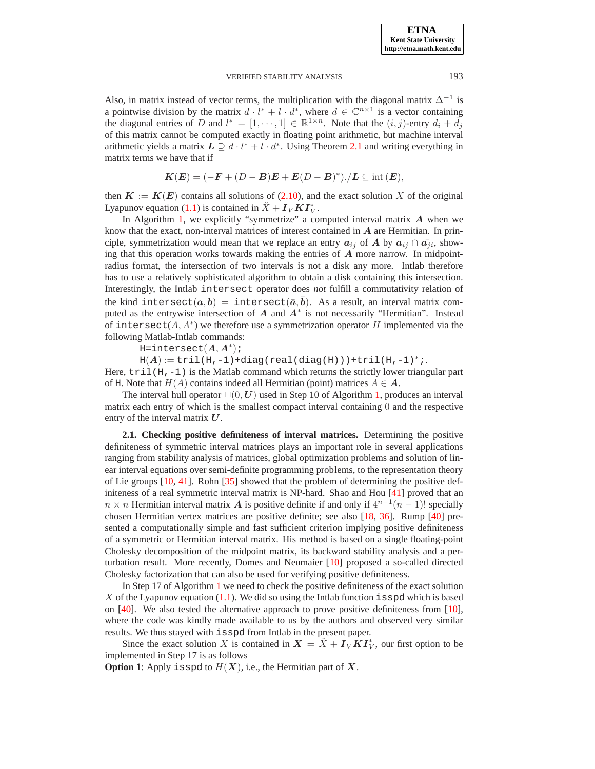Also, in matrix instead of vector terms, the multiplication with the diagonal matrix  $\Delta^{-1}$  is a pointwise division by the matrix  $d \cdot l^* + l \cdot d^*$ , where  $d \in \mathbb{C}^{n \times 1}$  is a vector containing the diagonal entries of D and  $l^* = [1, \dots, 1] \in \mathbb{R}^{1 \times n}$ . Note that the  $(i, j)$ -entry  $d_i + \overline{d}_j$ of this matrix cannot be computed exactly in floating point arithmetic, but machine interval arithmetic yields a matrix  $L \supseteq d \cdot l^* + l \cdot d^*$ . Using Theorem [2.1](#page-3-4) and writing everything in matrix terms we have that if

$$
K(E) = (-F + (D - B)E + E(D - B)^*). / L \subseteq \text{int}(E),
$$

then  $K := K(E)$  contains all solutions of [\(2.10\)](#page-5-0), and the exact solution X of the original Lyapunov equation [\(1.1\)](#page-0-0) is contained in  $\check{X} + I_V K I_V^*$ .

In Algorithm [1,](#page-7-0) we explicitly "symmetrize" a computed interval matrix  $A$  when we know that the exact, non-interval matrices of interest contained in  $A$  are Hermitian. In principle, symmetrization would mean that we replace an entry  $a_{ij}$  of A by  $a_{ij} \cap \overline{a_{ij}}$ , showing that this operation works towards making the entries of  $A$  more narrow. In midpointradius format, the intersection of two intervals is not a disk any more. Intlab therefore has to use a relatively sophisticated algorithm to obtain a disk containing this intersection. Interestingly, the Intlab intersect operator does *not* fulfill a commutativity relation of the kind intersect $(a,b)$  =  $\overline{\text{intersect}(\bar a, \bar b)}.$  As a result, an interval matrix computed as the entrywise intersection of  $A$  and  $A^*$  is not necessarily "Hermitian". Instead of intersect( $A, A^*$ ) we therefore use a symmetrization operator H implemented via the following Matlab-Intlab commands:

H=intersect $(A, A^*)$ ;

 $H(A) := \text{tril}(H,-1) + \text{diag}(\text{real}(diag(H))) + \text{tril}(H,-1)^{*}$ ;.

Here,  $\text{tril}(H,-1)$  is the Matlab command which returns the strictly lower triangular part of H. Note that  $H(A)$  contains indeed all Hermitian (point) matrices  $A \in \mathbf{A}$ .

The interval hull operator  $\square(0, U)$  used in Step 10 of Algorithm [1,](#page-7-0) produces an interval matrix each entry of which is the smallest compact interval containing 0 and the respective entry of the interval matrix  $U$ .

**2.1. Checking positive definiteness of interval matrices.** Determining the positive definiteness of symmetric interval matrices plays an important role in several applications ranging from stability analysis of matrices, global optimization problems and solution of linear interval equations over semi-definite programming problems, to the representation theory of Lie groups [\[10,](#page-15-21) [41\]](#page-16-9). Rohn [\[35\]](#page-16-10) showed that the problem of determining the positive definiteness of a real symmetric interval matrix is NP-hard. Shao and Hou [\[41\]](#page-16-9) proved that an  $n \times n$  Hermitian interval matrix A is positive definite if and only if  $4^{n-1}(n-1)!$  specially chosen Hermitian vertex matrices are positive definite; see also [\[18,](#page-15-22) [36\]](#page-16-11). Rump [\[40\]](#page-16-2) presented a computationally simple and fast sufficient criterion implying positive definiteness of a symmetric or Hermitian interval matrix. His method is based on a single floating-point Cholesky decomposition of the midpoint matrix, its backward stability analysis and a perturbation result. More recently, Domes and Neumaier [\[10\]](#page-15-21) proposed a so-called directed Cholesky factorization that can also be used for verifying positive definiteness.

In Step 17 of Algorithm [1](#page-7-0) we need to check the positive definiteness of the exact solution X of the Lyapunov equation  $(1.1)$ . We did so using the Intlab function isspd which is based on [\[40\]](#page-16-2). We also tested the alternative approach to prove positive definiteness from [\[10\]](#page-15-21), where the code was kindly made available to us by the authors and observed very similar results. We thus stayed with isspd from Intlab in the present paper.

Since the exact solution X is contained in  $X = \check{X} + I_V K I_V^*$ , our first option to be implemented in Step 17 is as follows

**Option 1**: Apply isspd to  $H(X)$ , i.e., the Hermitian part of  $X$ .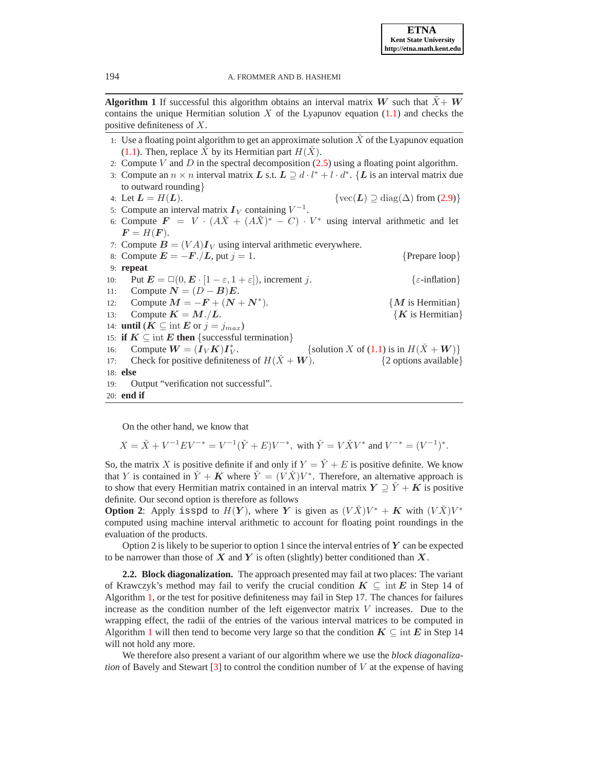**Algorithm 1** If successful this algorithm obtains an interval matrix W such that  $\ddot{X} + W$ contains the unique Hermitian solution X of the Lyapunov equation  $(1.1)$  and checks the positive definiteness of X.

- 1: Use a floating point algorithm to get an approximate solution  $\tilde{X}$  of the Lyapunov equation [\(1.1\)](#page-0-0). Then, replace X by its Hermitian part  $H(X)$ .
- 2: Compute V and D in the spectral decomposition  $(2.5)$  using a floating point algorithm.
- 3: Compute an  $n \times n$  interval matrix L s.t.  $L \supseteq d \cdot l^* + l \cdot d^*$ . {L is an interval matrix due to outward rounding}
- 4: Let  $L = H(L)$ . { $\text{vec}(L) \supseteq \text{diag}(\Delta)$  from [\(2.9\)](#page-5-1)} 5: Compute an interval matrix  $I_V$  containing  $V^{-1}$ . 6: Compute  $\mathbf{F} = V \cdot (A\check{X} + (A\check{X})^*) - C) \cdot V^*$  using interval arithmetic and let
- $\boldsymbol{F} = H(\boldsymbol{F}).$
- 7: Compute  $\mathbf{B} = (VA)\mathbf{I}_V$  using interval arithmetic everywhere.
- 8: Compute  $E = -F$ ./L, put  $j = 1$ . {Prepare loop} 9: **repeat**
- 10: Put  $\mathbf{E} = \Box(0, \mathbf{E} \cdot [1 \varepsilon, 1 + \varepsilon])$ , increment j.  $\{\varepsilon\text{-inflation}\}$ 11: Compute  $N = (D - B)E$ .
- 12: Compute  $M = -F + (N + N^*).$  $\{M \text{ is Hermitian}\}\$
- 13: Compute  $K = M_{\cdot}/L$ .  $\{K \text{ is Hermitian}\}\$
- 14: **until** ( $K \subseteq \text{int } E$  or  $j = j_{max}$ )
- 15: **if**  $K \subseteq \text{int } E$  then {successful termination}
- 16: Compute  $W = (\dot{I}_V K) I_V^*$ {solution X of [\(1.1\)](#page-0-0) is in  $H(\check{X} + W)$ } 17: Check for positive definiteness of  $H(X + W)$ . {2 options available}
- 18: **else**
- 19: Output "verification not successful".
- <span id="page-7-0"></span>20: **end if**

On the other hand, we know that

$$
X = \check{X} + V^{-1}EV^{-*} = V^{-1}(\check{Y} + E)V^{-*}, \text{ with } \check{Y} = V\check{X}V^* \text{ and } V^{-*} = (V^{-1})^*.
$$

So, the matrix X is positive definite if and only if  $Y = \check{Y} + E$  is positive definite. We know that Y is contained in  $\check{Y} + K$  where  $\check{Y} = (\check{V} \check{X})V^*$ . Therefore, an alternative approach is to show that every Hermitian matrix contained in an interval matrix  $Y \supseteq Y + K$  is positive definite. Our second option is therefore as follows

**Option 2:** Apply isspd to  $H(Y)$ , where Y is given as  $(VX)V^* + K$  with  $(VX)V^*$ computed using machine interval arithmetic to account for floating point roundings in the evaluation of the products.

Option 2 is likely to be superior to option 1 since the interval entries of  $\boldsymbol{Y}$  can be expected to be narrower than those of X and Y is often (slightly) better conditioned than X.

**2.2. Block diagonalization.** The approach presented may fail at two places: The variant of Krawczyk's method may fail to verify the crucial condition  $K \subseteq \text{int } E$  in Step 14 of Algorithm [1,](#page-7-0) or the test for positive definiteness may fail in Step 17. The chances for failures increase as the condition number of the left eigenvector matrix  $V$  increases. Due to the wrapping effect, the radii of the entries of the various interval matrices to be computed in Algorithm [1](#page-7-0) will then tend to become very large so that the condition  $K \subseteq \text{int } E$  in Step 14 will not hold any more.

We therefore also present a variant of our algorithm where we use the *block diagonalization* of Bavely and Stewart [\[3\]](#page-15-23) to control the condition number of V at the expense of having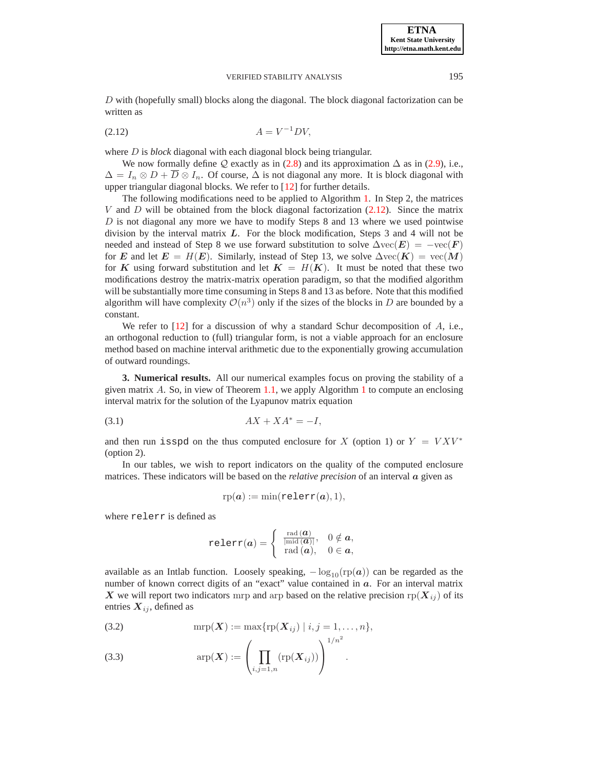$D$  with (hopefully small) blocks along the diagonal. The block diagonal factorization can be written as

<span id="page-8-1"></span>
$$
(2.12)\qquad \qquad A = V^{-1}DV,
$$

where D is *block* diagonal with each diagonal block being triangular.

We now formally define  $\mathcal Q$  exactly as in [\(2.8\)](#page-4-3) and its approximation  $\Delta$  as in [\(2.9\)](#page-5-1), i.e.,  $\Delta = I_n \otimes D + \overline{D} \otimes I_n$ . Of course,  $\Delta$  is not diagonal any more. It is block diagonal with upper triangular diagonal blocks. We refer to [\[12\]](#page-15-19) for further details.

The following modifications need to be applied to Algorithm [1.](#page-7-0) In Step 2, the matrices V and D will be obtained from the block diagonal factorization  $(2.12)$ . Since the matrix  $D$  is not diagonal any more we have to modify Steps 8 and 13 where we used pointwise division by the interval matrix  $L$ . For the block modification, Steps 3 and 4 will not be needed and instead of Step 8 we use forward substitution to solve  $\Delta \text{vec}(\mathbf{E}) = -\text{vec}(\mathbf{F})$ for E and let  $E = H(E)$ . Similarly, instead of Step 13, we solve  $\Delta \text{vec}(K) = \text{vec}(M)$ for K using forward substitution and let  $K = H(K)$ . It must be noted that these two modifications destroy the matrix-matrix operation paradigm, so that the modified algorithm will be substantially more time consuming in Steps 8 and 13 as before. Note that this modified algorithm will have complexity  $\mathcal{O}(n^3)$  only if the sizes of the blocks in D are bounded by a constant.

We refer to  $[12]$  for a discussion of why a standard Schur decomposition of A, i.e., an orthogonal reduction to (full) triangular form, is not a viable approach for an enclosure method based on machine interval arithmetic due to the exponentially growing accumulation of outward roundings.

<span id="page-8-0"></span>**3. Numerical results.** All our numerical examples focus on proving the stability of a given matrix  $A$ . So, in view of Theorem [1.1,](#page-0-1) we apply Algorithm [1](#page-7-0) to compute an enclosing interval matrix for the solution of the Lyapunov matrix equation

$$
(3.1)\quad \ \ \, AX + XA^* = -I,
$$

and then run isspd on the thus computed enclosure for X (option 1) or  $Y = V X V^*$ (option 2).

In our tables, we wish to report indicators on the quality of the computed enclosure matrices. These indicators will be based on the *relative precision* of an interval a given as

$$
rp(a) := min(relerr(a), 1),
$$

where relerr is defined as

$$
\text{relerr}(a) = \left\{ \begin{array}{cc} \frac{\text{rad}(\bm{a})}{|\text{mid}(\bm{a})|}, & 0 \notin a, \\ \text{rad}(\bm{a}), & 0 \in a, \end{array} \right.
$$

available as an Intlab function. Loosely speaking,  $-\log_{10}(\text{rp}(a))$  can be regarded as the number of known correct digits of an "exact" value contained in  $a$ . For an interval matrix X we will report two indicators mrp and arp based on the relative precision  $rp(X_{ij})$  of its entries  $X_{ij}$ , defined as

 $1/n^2$ 

<span id="page-8-2"></span>(3.2) 
$$
\text{mrp}(\bm{X}) := \max\{\text{rp}(\bm{X}_{ij}) \mid i,j=1,\ldots,n\},
$$

(3.3) 
$$
\exp(\bm{X}) := \left(\prod_{i,j=1,n} (r p(\bm{X}_{ij}))\right)^{1/n}.
$$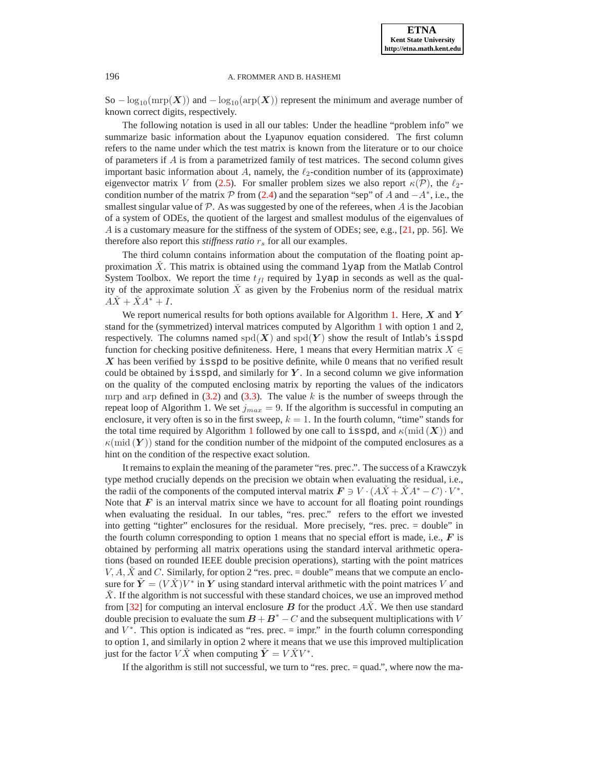So  $-\log_{10}(\text{mrp}(X))$  and  $-\log_{10}(\text{arp}(X))$  represent the minimum and average number of known correct digits, respectively.

The following notation is used in all our tables: Under the headline "problem info" we summarize basic information about the Lyapunov equation considered. The first column refers to the name under which the test matrix is known from the literature or to our choice of parameters if  $A$  is from a parametrized family of test matrices. The second column gives important basic information about A, namely, the  $\ell_2$ -condition number of its (approximate) eigenvector matrix V from [\(2.5\)](#page-4-2). For smaller problem sizes we also report  $\kappa(\mathcal{P})$ , the  $\ell_2$ condition number of the matrix  $P$  from [\(2.4\)](#page-4-0) and the separation "sep" of A and  $-A^*$ , i.e., the smallest singular value of  $P$ . As was suggested by one of the referees, when  $A$  is the Jacobian of a system of ODEs, the quotient of the largest and smallest modulus of the eigenvalues of A is a customary measure for the stiffness of the system of ODEs; see, e.g., [\[21,](#page-15-24) pp. 56]. We therefore also report this *stiffness ratio*  $r_s$  for all our examples.

The third column contains information about the computation of the floating point approximation  $\check{X}$ . This matrix is obtained using the command 1 yap from the Matlab Control System Toolbox. We report the time  $t_{fl}$  required by lyap in seconds as well as the quality of the approximate solution  $\tilde{X}$  as given by the Frobenius norm of the residual matrix  $A\check{X} + \check{X}A^* + I.$ 

We report numerical results for both options available for Algorithm [1.](#page-7-0) Here,  $X$  and  $Y$ stand for the (symmetrized) interval matrices computed by Algorithm [1](#page-7-0) with option 1 and 2, respectively. The columns named  $spd(X)$  and  $spd(Y)$  show the result of Intlab's isspd function for checking positive definiteness. Here, 1 means that every Hermitian matrix  $X \in$  $X$  has been verified by isspd to be positive definite, while 0 means that no verified result could be obtained by isspd, and similarly for  $Y$ . In a second column we give information on the quality of the computed enclosing matrix by reporting the values of the indicators mrp and arp defined in  $(3.2)$  and  $(3.3)$ . The value k is the number of sweeps through the repeat loop of Algorithm 1. We set  $j_{max} = 9$ . If the algorithm is successful in computing an enclosure, it very often is so in the first sweep,  $k = 1$ . In the fourth column, "time" stands for the total time required by Algorithm [1](#page-7-0) followed by one call to isspd, and  $\kappa(\text{mid}(\boldsymbol{X}))$  and  $\kappa(\text{mid}(\boldsymbol{Y}))$  stand for the condition number of the midpoint of the computed enclosures as a hint on the condition of the respective exact solution.

It remains to explain the meaning of the parameter "res. prec.". The success of a Krawczyk type method crucially depends on the precision we obtain when evaluating the residual, i.e., the radii of the components of the computed interval matrix  $\mathbf{F} \ni V \cdot (A \check{X} + \check{X} A^* - C) \cdot V^*$ . Note that  $\bf{F}$  is an interval matrix since we have to account for all floating point roundings when evaluating the residual. In our tables, "res. prec." refers to the effort we invested into getting "tighter" enclosures for the residual. More precisely, "res. prec. = double" in the fourth column corresponding to option 1 means that no special effort is made, i.e.,  $\boldsymbol{F}$  is obtained by performing all matrix operations using the standard interval arithmetic operations (based on rounded IEEE double precision operations), starting with the point matrices  $V, A, \dot{X}$  and C. Similarly, for option 2 "res. prec. = double" means that we compute an enclosure for  $\tilde{Y} = (V\check{X})V^*$  in Y using standard interval arithmetic with the point matrices V and  $X<sub>i</sub>$ . If the algorithm is not successful with these standard choices, we use an improved method from [\[32\]](#page-16-12) for computing an interval enclosure B for the product  $\overline{AX}$ . We then use standard double precision to evaluate the sum  $B + B^* - C$  and the subsequent multiplications with V and  $V^*$ . This option is indicated as "res. prec. = impr." in the fourth column corresponding to option 1, and similarly in option 2 where it means that we use this improved multiplication just for the factor  $V\check{X}$  when computing  $\tilde{Y} = V\check{X}V^*$ .

If the algorithm is still not successful, we turn to "res. prec. = quad.", where now the ma-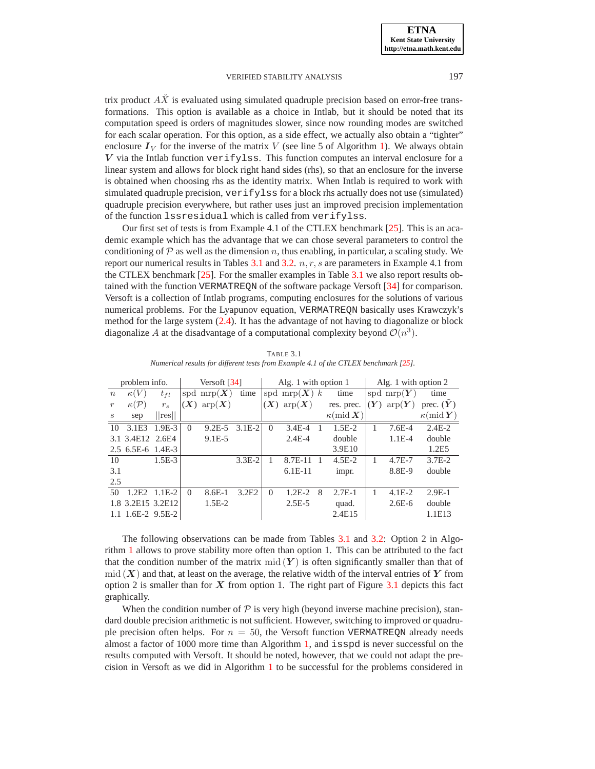trix product  $\overrightarrow{AX}$  is evaluated using simulated quadruple precision based on error-free transformations. This option is available as a choice in Intlab, but it should be noted that its computation speed is orders of magnitudes slower, since now rounding modes are switched for each scalar operation. For this option, as a side effect, we actually also obtain a "tighter" enclosure  $I_V$  for the inverse of the matrix V (see line 5 of Algorithm [1\)](#page-7-0). We always obtain  $V$  via the Intlab function verifylss. This function computes an interval enclosure for a linear system and allows for block right hand sides (rhs), so that an enclosure for the inverse is obtained when choosing rhs as the identity matrix. When Intlab is required to work with simulated quadruple precision, verifylss for a block rhs actually does not use (simulated) quadruple precision everywhere, but rather uses just an improved precision implementation of the function lssresidual which is called from verifylss.

Our first set of tests is from Example 4.1 of the CTLEX benchmark [\[25\]](#page-15-25). This is an academic example which has the advantage that we can chose several parameters to control the conditioning of  $P$  as well as the dimension n, thus enabling, in particular, a scaling study. We report our numerical results in Tables [3.1](#page-10-0) and [3.2.](#page-11-0)  $n, r, s$  are parameters in Example 4.1 from the CTLEX benchmark [\[25\]](#page-15-25). For the smaller examples in Table [3.1](#page-10-0) we also report results obtained with the function VERMATREQN of the software package Versoft [\[34\]](#page-16-13) for comparison. Versoft is a collection of Intlab programs, computing enclosures for the solutions of various numerical problems. For the Lyapunov equation, VERMATREQN basically uses Krawczyk's method for the large system [\(2.4\)](#page-4-0). It has the advantage of not having to diagonalize or block diagonalize A at the disadvantage of a computational complexity beyond  $\mathcal{O}(n^3)$ .

<span id="page-10-0"></span>

| problem info.     |                    |          | Versoft $[34]$ |                                |            |          | Alg. 1 with option 1         |   |                                 | Alg. 1 with option 2 |                                        |                                 |
|-------------------|--------------------|----------|----------------|--------------------------------|------------|----------|------------------------------|---|---------------------------------|----------------------|----------------------------------------|---------------------------------|
| $\boldsymbol{n}$  | $\kappa(V)$        | $t_{fl}$ |                | spd $\text{mrp}(X)$            | time       |          | spd mrp $(X)$ k              |   | time                            |                      | spd $\operatorname{mrp}(\overline{Y})$ | time                            |
| $\boldsymbol{r}$  | $\kappa({\cal P})$ | $r_s$    | (X)            | $\mathrm{arp}(\boldsymbol{X})$ |            | (X)      | $\text{arp}(\boldsymbol{X})$ |   | res. prec.                      | (Y)                  | $\text{arp}(\boldsymbol{Y})$           | prec. $(Y)$                     |
| $\mathcal{S}_{0}$ | sep                | res      |                |                                |            |          |                              |   | $\kappa(\text{mid }\mathbf{X})$ |                      |                                        | $\kappa(\text{mid }\mathbf{Y})$ |
| 10                | 3.1E3              | $1.9E-3$ | $\Omega$       | $9.2E - 5$                     | $3.1E-2$   | $\Omega$ | $3.4E - 4$                   |   | $1.5E-2$                        |                      | $7.6E-4$                               | $2.4E-2$                        |
| 3.1               | 3.4E12 2.6E4       |          |                | $9.1E-5$                       |            |          | $2.4E - 4$                   |   | double                          |                      | $1.1E-4$                               | double                          |
|                   | 2.5 6.5E-6 1.4E-3  |          |                |                                |            |          |                              |   | 3.9E10                          |                      |                                        | 1.2E5                           |
| 10                |                    | $1.5E-3$ |                |                                | $3.3E - 2$ |          | 8.7E-11                      |   | $4.5E - 2$                      |                      | $4.7E - 7$                             | $3.7E-2$                        |
| 3.1               |                    |          |                |                                |            |          | $6.1E-11$                    |   | impr.                           |                      | 8.8E-9                                 | double                          |
| 2.5               |                    |          |                |                                |            |          |                              |   |                                 |                      |                                        |                                 |
| 50                | 2E2                | $1.1E-2$ | $\Omega$       | $8.6E-1$                       | 3.2E2      | $\Omega$ | $1.2E-2$                     | 8 | $2.7E-1$                        |                      | $4.1E-2$                               | $2.9E-1$                        |
|                   | 1.8 3.2E15 3.2E12  |          |                | $1.5E-2$                       |            |          | $2.5E-5$                     |   | quad.                           |                      | $2.6E-6$                               | double                          |
|                   | $1.6E-2$ 9.5E-2    |          |                |                                |            |          |                              |   | 2.4E15                          |                      |                                        | 1.1E13                          |

TABLE 3.1 *Numerical results for different tests from Example 4.1 of the CTLEX benchmark [\[25\]](#page-15-25).*

The following observations can be made from Tables [3.1](#page-10-0) and [3.2:](#page-11-0) Option 2 in Algorithm [1](#page-7-0) allows to prove stability more often than option 1. This can be attributed to the fact that the condition number of the matrix mid  $(Y)$  is often significantly smaller than that of  $mid(X)$  and that, at least on the average, the relative width of the interval entries of Y from option 2 is smaller than for  $X$  from option 1. The right part of Figure [3.1](#page-11-1) depicts this fact graphically.

When the condition number of  $P$  is very high (beyond inverse machine precision), standard double precision arithmetic is not sufficient. However, switching to improved or quadruple precision often helps. For  $n = 50$ , the Versoft function VERMATREQN already needs almost a factor of 1000 more time than Algorithm [1,](#page-7-0) and isspd is never successful on the results computed with Versoft. It should be noted, however, that we could not adapt the precision in Versoft as we did in Algorithm [1](#page-7-0) to be successful for the problems considered in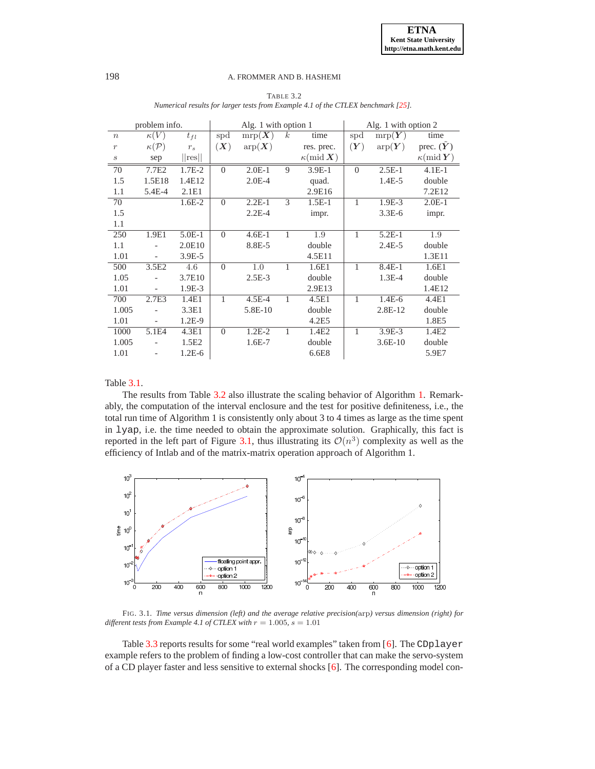<span id="page-11-0"></span>

|                  | problem info.            |                               |              | Alg. 1 with option 1         |                  |                                 | Alg. 1 with option 2 |                                |                                 |
|------------------|--------------------------|-------------------------------|--------------|------------------------------|------------------|---------------------------------|----------------------|--------------------------------|---------------------------------|
| $\boldsymbol{n}$ | $\kappa(V)$              | $t_{fl}$                      | spd          | $\mathrm{mrp}(\overline{X})$ | $\boldsymbol{k}$ | time                            | spd                  | $\text{mrp}(\boldsymbol{Y})$   | time                            |
| $\boldsymbol{r}$ | $\kappa(\mathcal{P})$    | $r_{\scriptscriptstyle S}$    | (X)          | $\text{arg}(\boldsymbol{X})$ |                  | res. prec.                      | (Y)                  | $\mathrm{arp}(\boldsymbol{Y})$ | prec. $(Y)$                     |
| $\boldsymbol{s}$ | sep                      | $\vert\vert$ res $\vert\vert$ |              |                              |                  | $\kappa(\text{mid }\mathbf{X})$ |                      |                                | $\kappa(\text{mid }\mathbf{Y})$ |
| 70               | 7.7E2                    | $1.7E-2$                      | $\Omega$     | $2.0E-1$                     | 9                | $3.9E-1$                        | $\Omega$             | $2.5E-1$                       | $4.1E-1$                        |
| 1.5              | 1.5E18                   | 1.4E12                        |              | $2.0E-4$                     |                  | quad.                           |                      | $1.4E-5$                       | double                          |
| 1.1              | 5.4E-4                   | 2.1E1                         |              |                              |                  | 2.9E16                          |                      |                                | 7.2E12                          |
| 70               |                          | $1.6E-2$                      | $\Omega$     | $2.2E-1$                     | 3                | $1.5E-1$                        | 1                    | $1.9E-3$                       | $2.0E-1$                        |
| 1.5              |                          |                               |              | $2.2E-4$                     |                  | impr.                           |                      | $3.3E-6$                       | impr.                           |
| 1.1              |                          |                               |              |                              |                  |                                 |                      |                                |                                 |
| 250              | 1.9E1                    | $5.0E-1$                      | $\Omega$     | $4.6E-1$                     | 1                | 1.9                             | 1                    | $5.2E-1$                       | 1.9                             |
| 1.1              |                          | 2.0E10                        |              | 8.8E-5                       |                  | double                          |                      | $2.4E-5$                       | double                          |
| 1.01             |                          | $3.9E-5$                      |              |                              |                  | 4.5E11                          |                      |                                | 1.3E11                          |
| 500              | 3.5E2                    | 4.6                           | $\Omega$     | 1.0                          | 1                | 1.6E1                           | 1                    | $8.4E-1$                       | 1.6E1                           |
| 1.05             | $\overline{a}$           | 3.7E10                        |              | $2.5E-3$                     |                  | double                          |                      | $1.3E-4$                       | double                          |
| 1.01             | $\overline{\phantom{a}}$ | 1.9E-3                        |              |                              |                  | 2.9E13                          |                      |                                | 1.4E12                          |
| 700              | 2.7E3                    | 1.4E1                         | $\mathbf{1}$ | $4.5E - 4$                   | 1                | 4.5E1                           | 1                    | $1.4E-6$                       | 4.4E1                           |
| 1.005            |                          | 3.3E1                         |              | 5.8E-10                      |                  | double                          |                      | 2.8E-12                        | double                          |
| 1.01             | $\overline{\phantom{a}}$ | 1.2E-9                        |              |                              |                  | 4.2E5                           |                      |                                | 1.8E5                           |
| 1000             | 5.1E4                    | 4.3E1                         | $\Omega$     | $1.2E-2$                     | 1                | 1.4E2                           | 1                    | $3.9E-3$                       | 1.4E2                           |
| 1.005            |                          | 1.5E2                         |              | $1.6E-7$                     |                  | double                          |                      | $3.6E-10$                      | double                          |
| 1.01             |                          | $1.2E-6$                      |              |                              |                  | 6.6E8                           |                      |                                | 5.9E7                           |

TABLE 3.2 *Numerical results for larger tests from Example 4.1 of the CTLEX benchmark [\[25\]](#page-15-25)*.

# Table [3.1.](#page-10-0)

The results from Table [3.2](#page-11-0) also illustrate the scaling behavior of Algorithm [1.](#page-7-0) Remarkably, the computation of the interval enclosure and the test for positive definiteness, i.e., the total run time of Algorithm 1 is consistently only about 3 to 4 times as large as the time spent in lyap, i.e. the time needed to obtain the approximate solution. Graphically, this fact is reported in the left part of Figure [3.1,](#page-11-1) thus illustrating its  $\mathcal{O}(n^3)$  complexity as well as the efficiency of Intlab and of the matrix-matrix operation approach of Algorithm 1.



<span id="page-11-1"></span>FIG. 3.1. *Time versus dimension (left) and the average relative precision(*arp*) versus dimension (right) for different tests from Example 4.1 of CTLEX with*  $r = 1.005$ ,  $s = 1.01$ 

Table [3.3](#page-13-0) reports results for some "real world examples" taken from [\[6\]](#page-15-26). The CDplayer example refers to the problem of finding a low-cost controller that can make the servo-system of a CD player faster and less sensitive to external shocks [\[6\]](#page-15-26). The corresponding model con-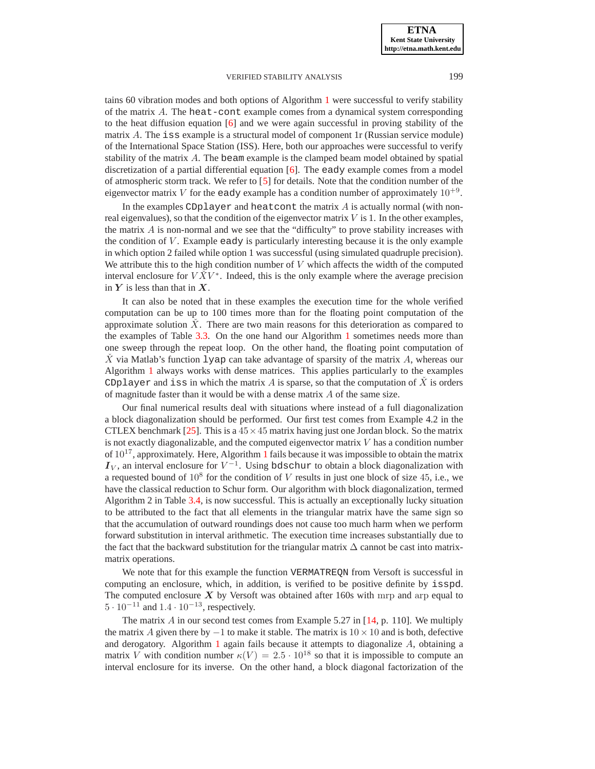tains 60 vibration modes and both options of Algorithm [1](#page-7-0) were successful to verify stability of the matrix A. The heat-cont example comes from a dynamical system corresponding to the heat diffusion equation [\[6\]](#page-15-26) and we were again successful in proving stability of the matrix A. The iss example is a structural model of component 1r (Russian service module) of the International Space Station (ISS). Here, both our approaches were successful to verify stability of the matrix A. The beam example is the clamped beam model obtained by spatial discretization of a partial differential equation  $[6]$ . The eady example comes from a model of atmospheric storm track. We refer to [\[5\]](#page-15-27) for details. Note that the condition number of the eigenvector matrix V for the eady example has a condition number of approximately  $10^{+9}$ .

In the examples CDplayer and heatcont the matrix  $A$  is actually normal (with nonreal eigenvalues), so that the condition of the eigenvector matrix  $V$  is 1. In the other examples, the matrix  $\vec{A}$  is non-normal and we see that the "difficulty" to prove stability increases with the condition of  $V$ . Example eady is particularly interesting because it is the only example in which option 2 failed while option 1 was successful (using simulated quadruple precision). We attribute this to the high condition number of  $V$  which affects the width of the computed interval enclosure for  $V\check{X}V^*$ . Indeed, this is the only example where the average precision in  $Y$  is less than that in  $X$ .

It can also be noted that in these examples the execution time for the whole verified computation can be up to 100 times more than for the floating point computation of the approximate solution  $\hat{X}$ . There are two main reasons for this deterioration as compared to the examples of Table [3.3.](#page-13-0) On the one hand our Algorithm [1](#page-7-0) sometimes needs more than one sweep through the repeat loop. On the other hand, the floating point computation of X via Matlab's function  $\lceil \log \rceil$  can take advantage of sparsity of the matrix A, whereas our Algorithm [1](#page-7-0) always works with dense matrices. This applies particularly to the examples CDplayer and iss in which the matrix A is sparse, so that the computation of  $\hat{X}$  is orders of magnitude faster than it would be with a dense matrix A of the same size.

Our final numerical results deal with situations where instead of a full diagonalization a block diagonalization should be performed. Our first test comes from Example 4.2 in the CTLEX benchmark [\[25\]](#page-15-25). This is a  $45 \times 45$  matrix having just one Jordan block. So the matrix is not exactly diagonalizable, and the computed eigenvector matrix  $V$  has a condition number of  $10^{17}$  $10^{17}$ , approximately. Here, Algorithm 1 fails because it was impossible to obtain the matrix  $I_V$ , an interval enclosure for  $V^{-1}$ . Using bdschur to obtain a block diagonalization with a requested bound of  $10^8$  for the condition of V results in just one block of size 45, i.e., we have the classical reduction to Schur form. Our algorithm with block diagonalization, termed Algorithm 2 in Table [3.4,](#page-13-1) is now successful. This is actually an exceptionally lucky situation to be attributed to the fact that all elements in the triangular matrix have the same sign so that the accumulation of outward roundings does not cause too much harm when we perform forward substitution in interval arithmetic. The execution time increases substantially due to the fact that the backward substitution for the triangular matrix  $\Delta$  cannot be cast into matrixmatrix operations.

We note that for this example the function VERMATREQN from Versoft is successful in computing an enclosure, which, in addition, is verified to be positive definite by isspd. The computed enclosure  $X$  by Versoft was obtained after 160s with mrp and arp equal to  $5 \cdot 10^{-11}$  and  $1.4 \cdot 10^{-13}$ , respectively.

The matrix  $A$  in our second test comes from Example 5.27 in [\[14,](#page-15-28) p. 110]. We multiply the matrix A given there by  $-1$  to make it stable. The matrix is  $10 \times 10$  and is both, defective and derogatory. Algorithm [1](#page-7-0) again fails because it attempts to diagonalize  $A$ , obtaining a matrix V with condition number  $\kappa(V) = 2.5 \cdot 10^{18}$  so that it is impossible to compute an interval enclosure for its inverse. On the other hand, a block diagonal factorization of the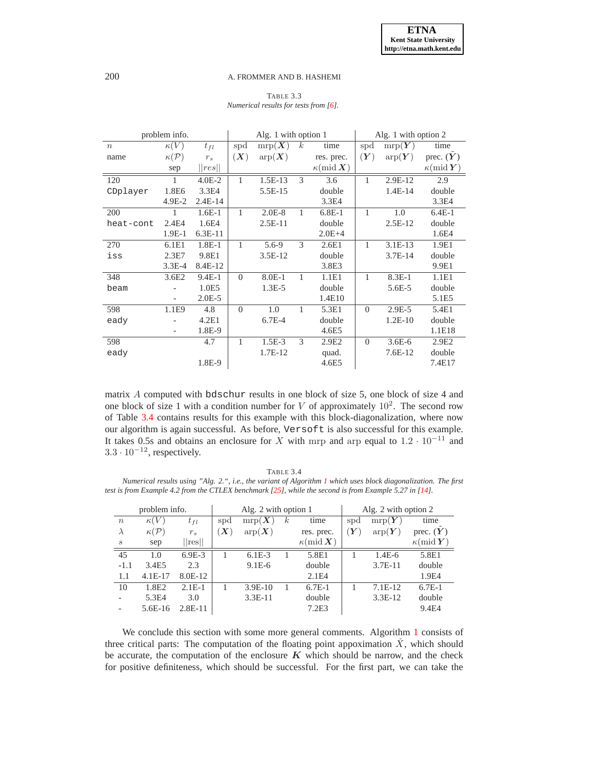TABLE 3.3 *Numerical results for tests from [\[6\]](#page-15-26).*

<span id="page-13-0"></span>

|                  | problem info.         |                            |                | Alg. 1 with option 1           |                  |                                 | Alg. 1 with option 2 |                                           |                                 |  |
|------------------|-----------------------|----------------------------|----------------|--------------------------------|------------------|---------------------------------|----------------------|-------------------------------------------|---------------------------------|--|
| $\boldsymbol{n}$ | $\kappa(V)$           | $t_{fl}$                   | spd            | $\text{mrp}(\overline{X})$     | $\boldsymbol{k}$ | time                            | spd                  | $\mathrm{mrp}(\overline{\boldsymbol{Y}})$ | time                            |  |
| name             | $\kappa(\mathcal{P})$ | $r_s$                      | (X)            | $\mathrm{arp}(\boldsymbol{X})$ |                  | res. prec.                      | (Y)                  | $\mathrm{arp}(\boldsymbol{Y})$            | prec. $(Y)$                     |  |
|                  | sep                   | $\vert\vert res\vert\vert$ |                |                                |                  | $\kappa(\text{mid }\mathbf{X})$ |                      |                                           | $\kappa(\text{mid }\mathbf{Y})$ |  |
| 120              | 1                     | $4.0E - 2$                 | 1              | $1.5E-13$                      | 3                | 3.6                             | 1                    | 2.9E-12                                   | 2.9                             |  |
| CDplayer         | 1.8E6                 | 3.3E4                      |                | 5.5E-15                        |                  | double                          |                      | $1.4E-14$                                 | double                          |  |
|                  | $4.9E-2$              | $2.4E-14$                  |                |                                |                  | 3.3E4                           |                      |                                           | 3.3E4                           |  |
| 200              | 1                     | $1.6E-1$                   | 1              | $2.0E-8$                       | $\mathbf{1}$     | $6.8E-1$                        | 1                    | 1.0                                       | $6.4E-1$                        |  |
| heat-cont        | 2.4E4                 | 1.6E4                      |                | $2.5E-11$                      |                  | double                          |                      | $2.5E-12$                                 | double                          |  |
|                  | $1.9E-1$              | $6.3E-11$                  |                |                                |                  | $2.0E + 4$                      |                      |                                           | 1.6E4                           |  |
| 270              | 6.1E1                 | $1.8E-1$                   | 1              | $5.6 - 9$                      | 3                | 2.6E1                           | 1                    | $3.1E-13$                                 | 1.9E1                           |  |
| iss              | 2.3E7                 | 9.8E1                      |                | $3.5E-12$                      |                  | double                          |                      | $3.7E-14$                                 | double                          |  |
|                  | $3.3E-4$              | 8.4E-12                    |                |                                |                  | 3.8E3                           |                      |                                           | 9.9E1                           |  |
| 348              | 3.6E2                 | 9.4E-1                     | $\theta$       | 8.0E-1                         | $\mathbf{1}$     | 1.1E1                           | 1                    | $8.3E-1$                                  | 1.1E1                           |  |
| beam             |                       | 1.0E5                      |                | $1.3E-5$                       |                  | double                          |                      | $5.6E - 5$                                | double                          |  |
|                  |                       | $2.0E-5$                   |                |                                |                  | 1.4E10                          |                      |                                           | 5.1E5                           |  |
| 598              | 1.1E9                 | 4.8                        | $\overline{0}$ | 1.0                            | $\mathbf{1}$     | 5.3E1                           | $\theta$             | $2.9E-5$                                  | 5.4E1                           |  |
| eady             |                       | 4.2E1                      |                | $6.7E-4$                       |                  | double                          |                      | $1.2E-10$                                 | double                          |  |
|                  |                       | 1.8E-9                     |                |                                |                  | 4.6E5                           |                      |                                           | 1.1E18                          |  |
| 598              |                       | 4.7                        | 1              | $1.5E-3$                       | 3                | 2.9E2                           | $\Omega$             | $3.6E - 6$                                | 2.9E2                           |  |
| eady             |                       |                            |                | 1.7E-12                        |                  | quad.                           |                      | $7.6E-12$                                 | double                          |  |
|                  |                       | 1.8E-9                     |                |                                |                  | 4.6E5                           |                      |                                           | 7.4E17                          |  |

matrix A computed with bdschur results in one block of size 5, one block of size 4 and one block of size 1 with a condition number for V of approximately  $10^2$ . The second row of Table [3.4](#page-13-1) contains results for this example with this block-diagonalization, where now our algorithm is again successful. As before, Versoft is also successful for this example. It takes 0.5s and obtains an enclosure for X with mrp and arp equal to  $1.2 \cdot 10^{-11}$  and  $3.3 \cdot 10^{-12}$ , respectively.

TABLE 3.4

<span id="page-13-1"></span>*Numerical results using "Alg. 2.", i.e., the variant of Algorithm [1](#page-7-0) which uses block diagonalization. The first test is from Example 4.2 from the CTLEX benchmark [\[25\]](#page-15-25), while the second is from Example 5.27 in [\[14\]](#page-15-28).* 

|                  | problem info.      |          |                        | Alg. 2 with option 1           |          |                                 | Alg. 2 with option 2 |                              |                                 |  |
|------------------|--------------------|----------|------------------------|--------------------------------|----------|---------------------------------|----------------------|------------------------------|---------------------------------|--|
| $\boldsymbol{n}$ | $\kappa(V)$        | $t_{fl}$ | spd                    | $\text{mrp}(\boldsymbol{X})$   | $\kappa$ | time                            | spd                  | $\text{mrp}(\boldsymbol{Y})$ | time                            |  |
| $\lambda$        | $\kappa({\cal P})$ | $r_{s}$  | $\left X\right\rangle$ | $\mathrm{arp}(\boldsymbol{X})$ |          | res. prec.                      | $(\boldsymbol{Y})$   | $\arg(Y)$                    | prec. $(Y)$                     |  |
| S                | sep                | res      |                        |                                |          | $\kappa(\text{mid }\mathbf{X})$ |                      |                              | $\kappa(\text{mid }\mathbf{Y})$ |  |
| 45               | 1.0                | $6.9E-3$ |                        | $6.1E-3$                       |          | 5.8E1                           |                      | $1.4E-6$                     | 5.8E1                           |  |
| $-1.1$           | 3.4E5              | 2.3      |                        | $9.1E-6$                       |          | double                          |                      | $3.7E-11$                    | double                          |  |
| 1.1              | $4.1E-17$          | 8.0E-12  |                        |                                |          | 2.1E4                           |                      |                              | 1.9E4                           |  |
| 10               | 1.8E2              | $2.1E-1$ |                        | $3.9E-10$                      |          | $6.7E-1$                        |                      | $7.1E-12$                    | $6.7E-1$                        |  |
|                  | 5.3E4              | 3.0      |                        | $3.3E-11$                      |          | double                          |                      | $3.3E-12$                    | double                          |  |
|                  | $5.6E-16$          | 2.8E-11  |                        |                                |          | 7.2E3                           |                      |                              | 9.4E4                           |  |

We conclude this section with some more general comments. Algorithm [1](#page-7-0) consists of three critical parts: The computation of the floating point appoximation  $\check{X}$ , which should be accurate, the computation of the enclosure  $K$  which should be narrow, and the check for positive definiteness, which should be successful. For the first part, we can take the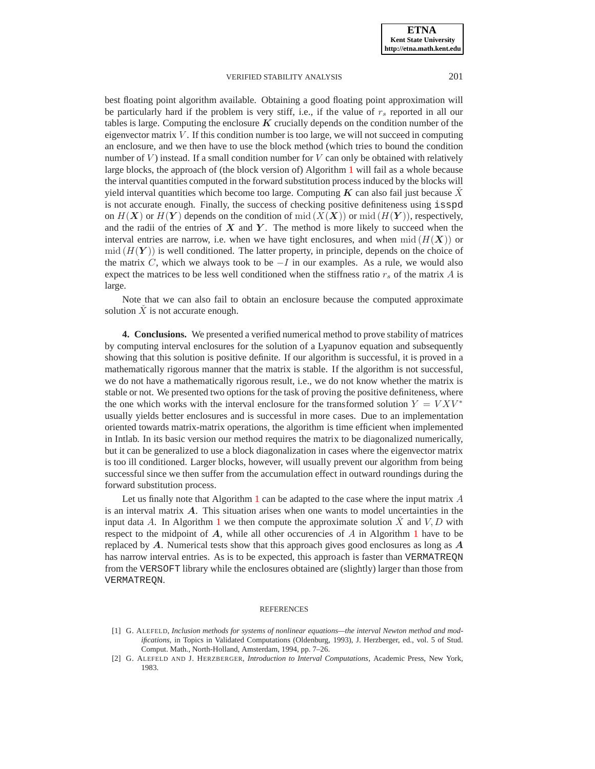best floating point algorithm available. Obtaining a good floating point approximation will be particularly hard if the problem is very stiff, i.e., if the value of  $r<sub>s</sub>$  reported in all our tables is large. Computing the enclosure  $K$  crucially depends on the condition number of the eigenvector matrix  $V$ . If this condition number is too large, we will not succeed in computing an enclosure, and we then have to use the block method (which tries to bound the condition number of  $V$ ) instead. If a small condition number for  $V$  can only be obtained with relatively large blocks, the approach of (the block version of) Algorithm [1](#page-7-0) will fail as a whole because the interval quantities computed in the forward substitution process induced by the blocks will yield interval quantities which become too large. Computing  $K$  can also fail just because  $\tilde{X}$ is not accurate enough. Finally, the success of checking positive definiteness using isspd on  $H(X)$  or  $H(Y)$  depends on the condition of mid  $(X(X))$  or mid  $(H(Y))$ , respectively, and the radii of the entries of  $X$  and  $Y$ . The method is more likely to succeed when the interval entries are narrow, i.e. when we have tight enclosures, and when  $mid(H(X))$  or  $mid (H(Y))$  is well conditioned. The latter property, in principle, depends on the choice of the matrix C, which we always took to be  $-I$  in our examples. As a rule, we would also expect the matrices to be less well conditioned when the stiffness ratio  $r<sub>s</sub>$  of the matrix A is large.

Note that we can also fail to obtain an enclosure because the computed approximate solution  $\check{X}$  is not accurate enough.

<span id="page-14-2"></span>**4. Conclusions.** We presented a verified numerical method to prove stability of matrices by computing interval enclosures for the solution of a Lyapunov equation and subsequently showing that this solution is positive definite. If our algorithm is successful, it is proved in a mathematically rigorous manner that the matrix is stable. If the algorithm is not successful, we do not have a mathematically rigorous result, i.e., we do not know whether the matrix is stable or not. We presented two options for the task of proving the positive definiteness, where the one which works with the interval enclosure for the transformed solution  $Y = V X V^*$ usually yields better enclosures and is successful in more cases. Due to an implementation oriented towards matrix-matrix operations, the algorithm is time efficient when implemented in Intlab. In its basic version our method requires the matrix to be diagonalized numerically, but it can be generalized to use a block diagonalization in cases where the eigenvector matrix is too ill conditioned. Larger blocks, however, will usually prevent our algorithm from being successful since we then suffer from the accumulation effect in outward roundings during the forward substitution process.

Let us finally note that Algorithm [1](#page-7-0) can be adapted to the case where the input matrix  $\ddot{A}$ is an interval matrix  $\vec{A}$ . This situation arises when one wants to model uncertainties in the input data A. In Algorithm [1](#page-7-0) we then compute the approximate solution  $\check{X}$  and  $V, D$  with respect to the midpoint of  $A$ , while all other occurencies of  $A$  in Algorithm [1](#page-7-0) have to be replaced by  $A$ . Numerical tests show that this approach gives good enclosures as long as  $A$ has narrow interval entries. As is to be expected, this approach is faster than VERMATREQN from the VERSOFT library while the enclosures obtained are (slightly) larger than those from VERMATREQN.

#### **REFERENCES**

<span id="page-14-0"></span><sup>[1]</sup> G. ALEFELD, *Inclusion methods for systems of nonlinear equations—the interval Newton method and modifications*, in Topics in Validated Computations (Oldenburg, 1993), J. Herzberger, ed., vol. 5 of Stud. Comput. Math., North-Holland, Amsterdam, 1994, pp. 7–26.

<span id="page-14-1"></span><sup>[2]</sup> G. ALEFELD AND J. HERZBERGER, *Introduction to Interval Computations*, Academic Press, New York, 1983.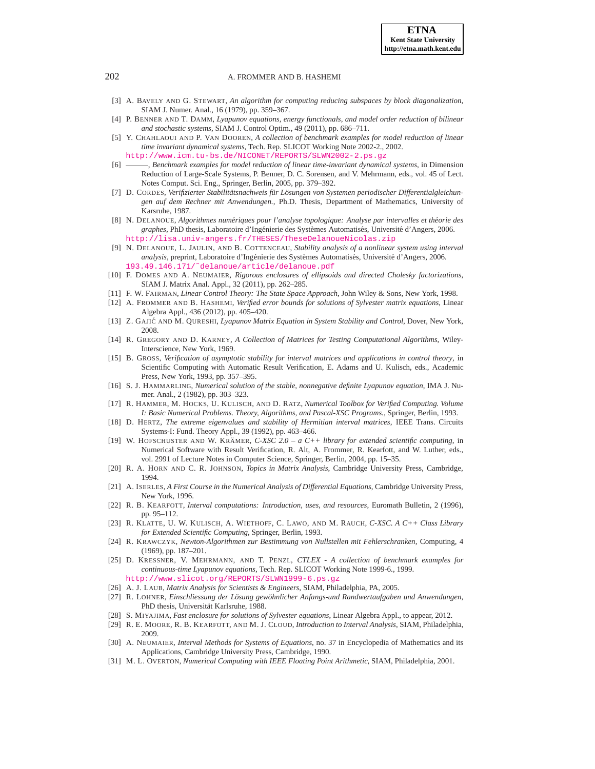- <span id="page-15-2"></span>[3] A. BAVELY AND G. STEWART, *An algorithm for computing reducing subspaces by block diagonalization*, SIAM J. Numer. Anal., 16 (1979), pp. 359–367.
- <span id="page-15-27"></span>[4] P. BENNER AND T. DAMM, *Lyapunov equations, energy functionals, and model order reduction of bilinear and stochastic systems*, SIAM J. Control Optim., 49 (2011), pp. 686–711.
- [5] Y. CHAHLAOUI AND P. VAN DOOREN, *A collection of benchmark examples for model reduction of linear time invariant dynamical systems*, Tech. Rep. SLICOT Working Note 2002-2., 2002.
- <http://www.icm.tu-bs.de/NICONET/REPORTS/SLWN2002-2.ps.gz>
- <span id="page-15-26"></span>[6] , *Benchmark examples for model reduction of linear time-invariant dynamical systems*, in Dimension Reduction of Large-Scale Systems, P. Benner, D. C. Sorensen, and V. Mehrmann, eds., vol. 45 of Lect. Notes Comput. Sci. Eng., Springer, Berlin, 2005, pp. 379–392.
- <span id="page-15-10"></span>[7] D. CORDES, *Verifizierter Stabilitatsnachweis f ¨ ur L ¨ osungen von Systemen periodischer Differentialgleichun- ¨ gen auf dem Rechner mit Anwendungen.*, Ph.D. Thesis, Department of Mathematics, University of Karsruhe, 1987.
- <span id="page-15-6"></span>[8] N. DELANOUE, *Algorithmes numeriques pour l'analyse topologique: Analyse par intervall ´ es et theorie des ´* graphes, PhD thesis, Laboratoire d'Ingénierie des Systèmes Automatisés, Université d'Angers, 2006. <http://lisa.univ-angers.fr/THESES/TheseDelanoueNicolas.zip>
- <span id="page-15-7"></span>[9] N. DELANOUE, L. JAULIN, AND B. COTTENCEAU, *Stability analysis of a nonlinear system using interval analysis*, preprint, Laboratoire d'Ingénierie des Systèmes Automatisés, Université d'Angers, 2006. [193.49.146.171/˜delanoue/article/delanoue.pdf](193.49.146.171/~delanoue/article/delanoue.pdf)
- <span id="page-15-21"></span>[10] F. DOMES AND A. NEUMAIER, *Rigorous enclosures of ellipsoids and directed Cholesky factorizations*, SIAM J. Matrix Anal. Appl., 32 (2011), pp. 262–285.
- <span id="page-15-19"></span><span id="page-15-4"></span>[11] F. W. FAIRMAN, *Linear Control Theory: The State Space Approach*, John Wiley & Sons, New York, 1998.
- [12] A. FROMMER AND B. HASHEMI, *Verified error bounds for solutions of Sylvester matrix equations*, Linear Algebra Appl., 436 (2012), pp. 405–420.
- <span id="page-15-28"></span><span id="page-15-1"></span>[13] Z. GAJIĆ AND M. QURESHI, *Lyapunov Matrix Equation in System Stability and Control*, Dover, New York, 2008.
- [14] R. GREGORY AND D. KARNEY, *A Collection of Matrices for Testing Computational Algorithms*, Wiley-Interscience, New York, 1969.
- <span id="page-15-8"></span>[15] B. GROSS, *Verification of asymptotic stability for interval matrices and applications in control theory*, in Scientific Computing with Automatic Result Verification, E. Adams and U. Kulisch, eds., Academic Press, New York, 1993, pp. 357–395.
- <span id="page-15-3"></span>[16] S. J. HAMMARLING, *Numerical solution of the stable, nonnegative definite Lyapunov equation*, IMA J. Numer. Anal., 2 (1982), pp. 303–323.
- <span id="page-15-12"></span>[17] R. HAMMER, M. HOCKS, U. KULISCH, AND D. RATZ, *Numerical Toolbox for Verified Computing. Volume I: Basic Numerical Problems. Theory, Algorithms, and Pascal-XSC Programs.*, Springer, Berlin, 1993.
- <span id="page-15-22"></span>[18] D. HERTZ, *The extreme eigenvalues and stability of Hermitian interval matrices*, IEEE Trans. Circuits Systems-I: Fund. Theory Appl., 39 (1992), pp. 463–466.
- <span id="page-15-16"></span>[19] W. HOFSCHUSTER AND W. KRÄMER,  $C$ -XSC 2.0 – a  $C++$  *library for extended scientific computing*, in Numerical Software with Result Verification, R. Alt, A. Frommer, R. Kearfott, and W. Luther, eds., vol. 2991 of Lecture Notes in Computer Science, Springer, Berlin, 2004, pp. 15–35.
- <span id="page-15-0"></span>[20] R. A. HORN AND C. R. JOHNSON, *Topics in Matrix Analysis*, Cambridge University Press, Cambridge, 1994.
- <span id="page-15-24"></span>[21] A. ISERLES, *A First Course in the Numerical Analysis of Differential Equations*, Cambridge University Press, New York, 1996.
- <span id="page-15-9"></span>[22] R. B. KEARFOTT, *Interval computations: Introduction, uses, and resources*, Euromath Bulletin, 2 (1996), pp. 95–112.
- <span id="page-15-17"></span>[23] R. KLATTE, U. W. KULISCH, A. WIETHOFF, C. LAWO, AND M. RAUCH, *C-XSC. A C++ Class Library for Extended Scientific Computing*, Springer, Berlin, 1993.
- <span id="page-15-18"></span>[24] R. KRAWCZYK, *Newton-Algorithmen zur Bestimmung von Nullstellen mit Fehlerschranken*, Computing, 4 (1969), pp. 187–201.
- <span id="page-15-25"></span>[25] D. KRESSNER, V. MEHRMANN, AND T. PENZL, *CTLEX - A collection of benchmark examples for continuous-time Lyapunov equations*, Tech. Rep. SLICOT Working Note 1999-6., 1999. <http://www.slicot.org/REPORTS/SLWN1999-6.ps.gz>
- <span id="page-15-11"></span><span id="page-15-5"></span>[26] A. J. LAUB, *Matrix Analysis for Scientists & Engineers*, SIAM, Philadelphia, PA, 2005.
- <span id="page-15-20"></span>[27] R. LOHNER, *Einschliessung der Lösung gewöhnlicher Anfangs-und Randwertaufgaben und Anwendungen,* PhD thesis, Universität Karlsruhe, 1988.
- [28] S. MIYAJIMA, *Fast enclosure for solutions of Sylvester equations*, Linear Algebra Appl., to appear, 2012.
- <span id="page-15-13"></span>[29] R. E. MOORE, R. B. KEARFOTT, AND M. J. CLOUD, *Introduction to Interval Analysis*, SIAM, Philadelphia, 2009.
- <span id="page-15-14"></span>[30] A. NEUMAIER, *Interval Methods for Systems of Equations*, no. 37 in Encyclopedia of Mathematics and its Applications, Cambridge University Press, Cambridge, 1990.
- <span id="page-15-15"></span>[31] M. L. OVERTON, *Numerical Computing with IEEE Floating Point Arithmetic*, SIAM, Philadelphia, 2001.

<span id="page-15-23"></span>